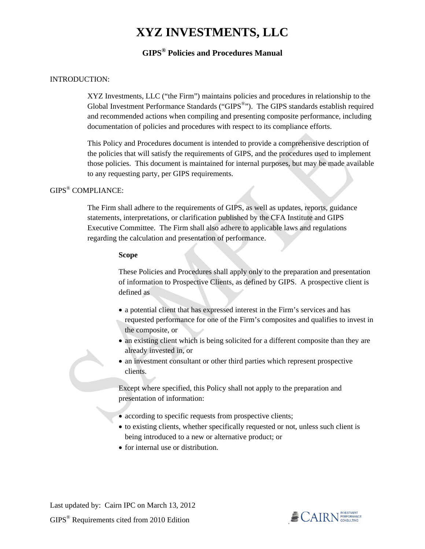# **XYZ INVESTMENTS, LLC**

## **GIPS® Policies and Procedures Manual**

### INTRODUCTION:

 XYZ Investments, LLC ("the Firm") maintains policies and procedures in relationship to the Global Investment Performance Standards ("GIPS®"). The GIPS standards establish required and recommended actions when compiling and presenting composite performance, including documentation of policies and procedures with respect to its compliance efforts.

 This Policy and Procedures document is intended to provide a comprehensive description of the policies that will satisfy the requirements of GIPS, and the procedures used to implement those policies. This document is maintained for internal purposes, but may be made available to any requesting party, per GIPS requirements.

### GIPS® COMPLIANCE:

 The Firm shall adhere to the requirements of GIPS, as well as updates, reports, guidance statements, interpretations, or clarification published by the CFA Institute and GIPS Executive Committee. The Firm shall also adhere to applicable laws and regulations regarding the calculation and presentation of performance.

#### **Scope**

 These Policies and Procedures shall apply only to the preparation and presentation of information to Prospective Clients, as defined by GIPS. A prospective client is defined as

- a potential client that has expressed interest in the Firm's services and has requested performance for one of the Firm's composites and qualifies to invest in the composite, or
- an existing client which is being solicited for a different composite than they are already invested in, or
- an investment consultant or other third parties which represent prospective clients.

 Except where specified, this Policy shall not apply to the preparation and presentation of information:

- according to specific requests from prospective clients;
- to existing clients, whether specifically requested or not, unless such client is being introduced to a new or alternative product; or
- for internal use or distribution.

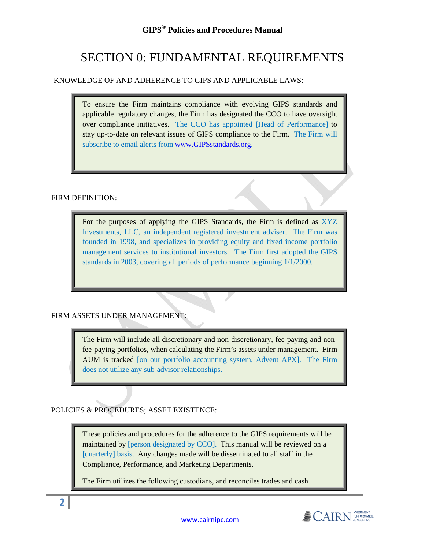### **GIPS® Policies and Procedures Manual**

## SECTION 0: FUNDAMENTAL REQUIREMENTS

### KNOWLEDGE OF AND ADHERENCE TO GIPS AND APPLICABLE LAWS:

To ensure the Firm maintains compliance with evolving GIPS standards and applicable regulatory changes, the Firm has designated the CCO to have oversight over compliance initiatives. The CCO has appointed [Head of Performance] to stay up-to-date on relevant issues of GIPS compliance to the Firm. The Firm will subscribe to email alerts from www.GIPSstandards.org.

### FIRM DEFINITION:

**2**

For the purposes of applying the GIPS Standards, the Firm is defined as XYZ Investments, LLC, an independent registered investment adviser. The Firm was founded in 1998, and specializes in providing equity and fixed income portfolio management services to institutional investors. The Firm first adopted the GIPS standards in 2003, covering all periods of performance beginning 1/1/2000.

### FIRM ASSETS UNDER MANAGEMENT:

The Firm will include all discretionary and non-discretionary, fee-paying and nonfee-paying portfolios, when calculating the Firm's assets under management. Firm AUM is tracked [on our portfolio accounting system, Advent APX]. The Firm does not utilize any sub-advisor relationships.

POLICIES & PROCEDURES; ASSET EXISTENCE:

These policies and procedures for the adherence to the GIPS requirements will be maintained by [person designated by CCO]. This manual will be reviewed on a [quarterly] basis. Any changes made will be disseminated to all staff in the Compliance, Performance, and Marketing Departments.

The Firm utilizes the following custodians, and reconciles trades and cash